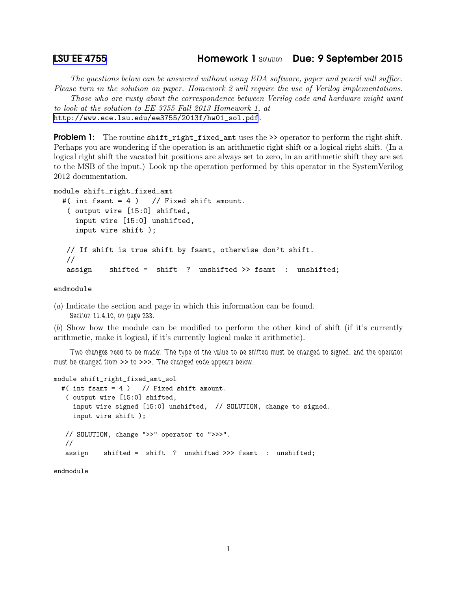The questions below can be answered without using EDA software, paper and pencil will suffice. Please turn in the solution on paper. Homework 2 will require the use of Verilog implementations.

Those who are rusty about the correspondence between Verilog code and hardware might want to look at the solution to EE 3755 Fall 2013 Homework 1, at

[http://www.ece.lsu.edu/ee3755/2013f/hw01\\_sol.pdf](http://www.ece.lsu.edu/ee3755/2013f/hw01_sol.pdf).

**Problem 1:** The routine shift\_right\_fixed\_amt uses the >> operator to perform the right shift. Perhaps you are wondering if the operation is an arithmetic right shift or a logical right shift. (In a logical right shift the vacated bit positions are always set to zero, in an arithmetic shift they are set to the MSB of the input.) Look up the operation performed by this operator in the SystemVerilog 2012 documentation.

```
module shift_right_fixed_amt
```

```
#( int fsamt = 4 ) // Fixed shift amount.
 ( output wire [15:0] shifted,
  input wire [15:0] unshifted,
  input wire shift );
// If shift is true shift by fsamt, otherwise don't shift.
//
assign shifted = shift ? unshifted >> fsamt : unshifted;
```
endmodule

(a) Indicate the section and page in which this information can be found. *Section 11.4.10, on page 233.*

(b) Show how the module can be modified to perform the other kind of shift (if it's currently arithmetic, make it logical, if it's currently logical make it arithmetic).

*Two changes need to be made: The type of the value to be shifted must be changed to signed, and the operator must be changed from* >> *to* >>>*. The changed code appears below.*

```
module shift_right_fixed_amt_sol
  #( int fsamt = 4 ) // Fixed shift amount.
   ( output wire [15:0] shifted,
     input wire signed [15:0] unshifted, // SOLUTION, change to signed.
     input wire shift );
  // SOLUTION, change ">>" operator to ">>>".
  //
   assign shifted = shift ? unshifted >>> fsamt : unshifted;
```
endmodule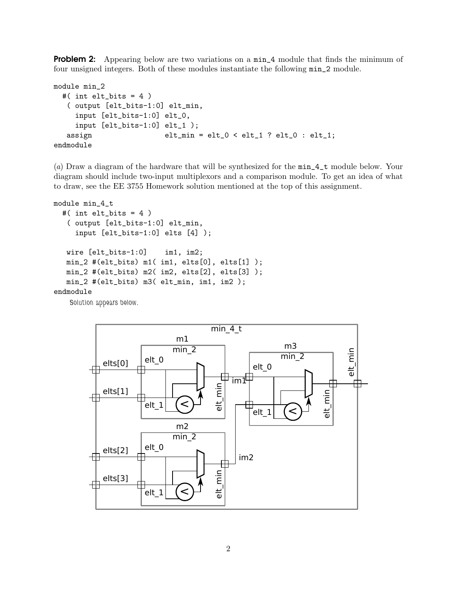**Problem 2:** Appearing below are two variations on a  $min_4$  module that finds the minimum of four unsigned integers. Both of these modules instantiate the following min\_2 module.

```
module min_2
 #( int elt_bits = 4 )
  ( output [elt_bits-1:0] elt_min,
    input [elt_bits-1:0] elt_0,
    input [elt_bits-1:0] elt_1 );
  assign elt_min = elt_0 < elt_1 ? elt_0 : elt_1;
endmodule
```
(a) Draw a diagram of the hardware that will be synthesized for the min\_4\_t module below. Your diagram should include two-input multiplexors and a comparison module. To get an idea of what to draw, see the EE 3755 Homework solution mentioned at the top of this assignment.

```
module min_4_t
  #( int elt_bits = 4 )
   ( output [elt_bits-1:0] elt_min,
     input [elt_bits-1:0] elts [4] );
   wire [elt_bits-1:0] im1, im2;
   min_2 #(elt_bits) m1( im1, elts[0], elts[1] );
   min_2 #(elt_bits) m2( im2, elts[2], elts[3] );
   min_2 #(elt_bits) m3( elt_min, im1, im2 );
endmodule
    Solution appears below.
```
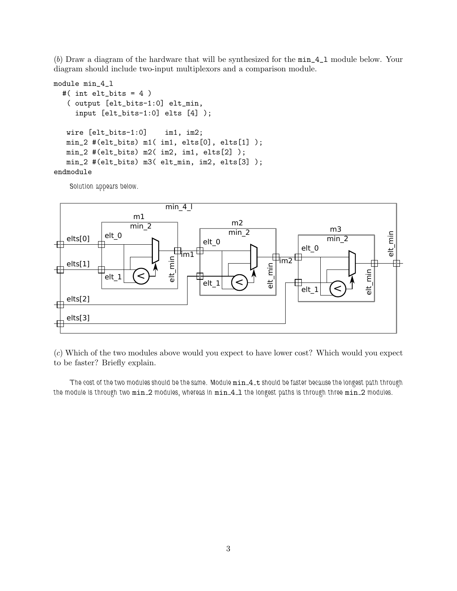(b) Draw a diagram of the hardware that will be synthesized for the min\_4\_l module below. Your diagram should include two-input multiplexors and a comparison module.

```
module min_4_l
  #( int elt_bits = 4 )
   ( output [elt_bits-1:0] elt_min,
     input [elt_bits-1:0] elts [4] );
   wire [elt_bits-1:0] im1, im2;
   min_2 #(elt_bits) m1( im1, elts[0], elts[1] );
   min_2 #(elt_bits) m2( im2, im1, elts[2] );
   min_2 #(elt_bits) m3( elt_min, im2, elts[3] );
endmodule
```
*Solution appears below.*



(c) Which of the two modules above would you expect to have lower cost? Which would you expect to be faster? Briefly explain.

*The cost of the two modules should be the same. Module* min 4 t *should be faster because the longest path through the module is through two* min 2 *modules, whereas in* min 4 l *the longest paths is through three* min 2 *modules.*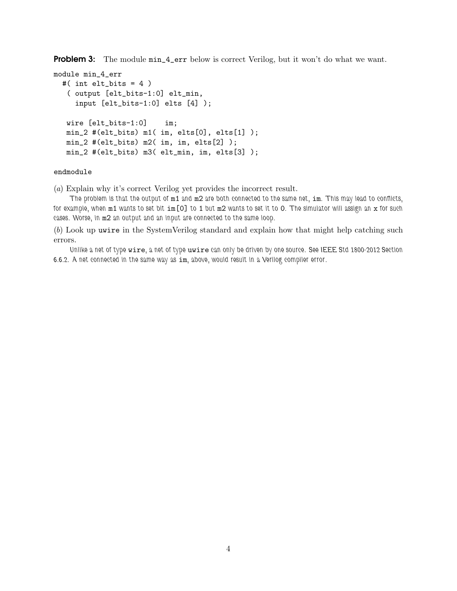**Problem 3:** The module  $\min_4$ -err below is correct Verilog, but it won't do what we want.

```
module min_4_err
 #( int elt_bits = 4 )
   ( output [elt_bits-1:0] elt_min,
     input [elt_bits-1:0] elts [4] );
  wire [elt_bits-1:0] im;
  min_2 #(elt_bits) m1( im, elts[0], elts[1] );
  min_2 #(elt_bits) m2( im, im, elts[2] );
  min_2 #(elt_bits) m3( elt_min, im, elts[3] );
```
# endmodule

(a) Explain why it's correct Verilog yet provides the incorrect result.

*The problem is that the output of* m1 *and* m2 *are both connected to the same net,* im*. This may lead to conflicts, for example, when* m1 *wants to set bit* im[0] *to* 1 *but* m2 *wants to set it to* 0*. The simulator will assign an* x *for such cases. Worse, in* m2 *an output and an input are connected to the same loop.*

(b) Look up uwire in the SystemVerilog standard and explain how that might help catching such errors.

*Unlike a net of type* wire*, a net of type* uwire *can only be driven by one source. See IEEE Std 1800-2012 Section 6.6.2. A net connected in the same way as* im*, above, would result in a Verilog compiler error.*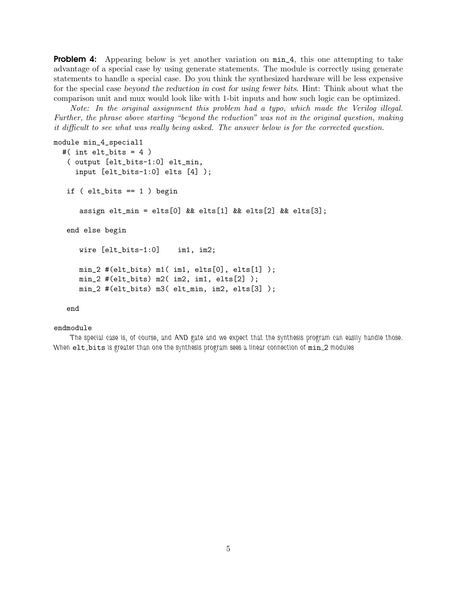**Problem 4:** Appearing below is yet another variation on  $min_4$ , this one attempting to take advantage of a special case by using generate statements. The module is correctly using generate statements to handle a special case. Do you think the synthesized hardware will be less expensive for the special case beyond the reduction in cost for using fewer bits. Hint: Think about what the comparison unit and mux would look like with 1-bit inputs and how such logic can be optimized.

Note: In the original assignment this problem had a typo, which made the Verilog illegal. Further, the phrase above starting "beyond the reduction" was not in the original question, making it difficult to see what was really being asked. The answer below is for the corrected question.

```
module min_4_special1
  #( int elt_bits = 4 )
   ( output [elt_bits-1:0] elt_min,
     input [elt_bits-1:0] elts [4] );
   if ( elt_bits == 1 ) begin
      assign elt_min = elts[0] && elts[1] && elts[2] && elts[3];
  end else begin
      wire [elt_bits-1:0] im1, im2;
      min_2 #(elt_bits) m1( im1, elts[0], elts[1] );
      min_2 #(elt_bits) m2( im2, im1, elts[2] );
      min_2 #(elt_bits) m3( elt_min, im2, elts[3] );
```
### end

## endmodule

*The special case is, of course, and AND gate and we expect that the synthesis program can easily handle those. When* elt bits *is greater than one the synthesis program sees a linear connection of* min 2 *modules*